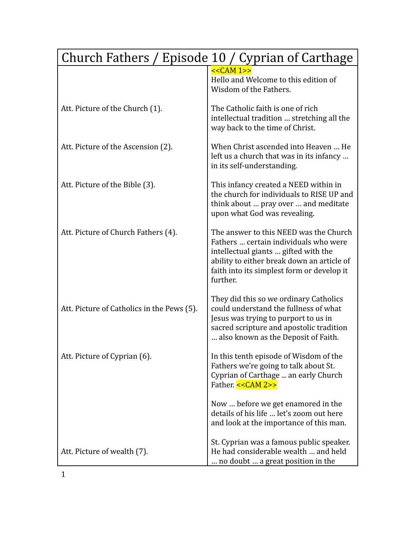| Church Fathers / Episode 10 / Cyprian of Carthage |                                                                                                                                                                                                                                 |
|---------------------------------------------------|---------------------------------------------------------------------------------------------------------------------------------------------------------------------------------------------------------------------------------|
|                                                   | $<<CAM 1>>$<br>Hello and Welcome to this edition of<br>Wisdom of the Fathers.                                                                                                                                                   |
| Att. Picture of the Church (1).                   | The Catholic faith is one of rich<br>intellectual tradition  stretching all the<br>way back to the time of Christ.                                                                                                              |
| Att. Picture of the Ascension (2).                | When Christ ascended into Heaven  He<br>left us a church that was in its infancy<br>in its self-understanding.                                                                                                                  |
| Att. Picture of the Bible (3).                    | This infancy created a NEED within in<br>the church for individuals to RISE UP and<br>think about  pray over  and meditate<br>upon what God was revealing.                                                                      |
| Att. Picture of Church Fathers (4).               | The answer to this NEED was the Church<br>Fathers  certain individuals who were<br>intellectual giants  gifted with the<br>ability to either break down an article of<br>faith into its simplest form or develop it<br>further. |
| Att. Picture of Catholics in the Pews (5).        | They did this so we ordinary Catholics<br>could understand the fullness of what<br>Jesus was trying to purport to us in<br>sacred scripture and apostolic tradition<br>also known as the Deposit of Faith.                      |
| Att. Picture of Cyprian (6).                      | In this tenth episode of Wisdom of the<br>Fathers we're going to talk about St.<br>Cyprian of Carthage  an early Church<br>Father. << CAM 2>>                                                                                   |
|                                                   | Now  before we get enamored in the<br>details of his life  let's zoom out here<br>and look at the importance of this man.                                                                                                       |
| Att. Picture of wealth (7).                       | St. Cyprian was a famous public speaker.<br>He had considerable wealth  and held<br>no doubt  a great position in the                                                                                                           |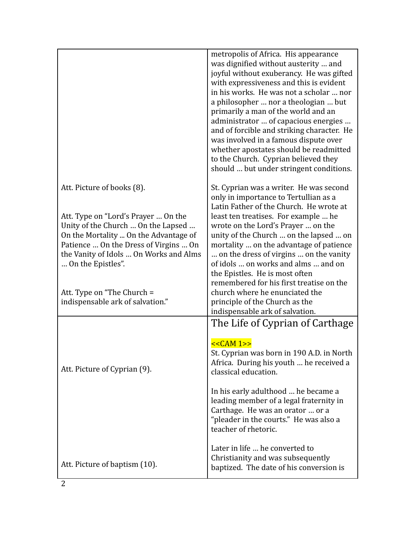|                                                                                                                                                                                                                                                          | metropolis of Africa. His appearance<br>was dignified without austerity  and<br>joyful without exuberancy. He was gifted<br>with expressiveness and this is evident<br>in his works. He was not a scholar  nor<br>a philosopher  nor a theologian  but<br>primarily a man of the world and an<br>administrator  of capacious energies<br>and of forcible and striking character. He<br>was involved in a famous dispute over<br>whether apostates should be readmitted<br>to the Church. Cyprian believed they<br>should  but under stringent conditions. |
|----------------------------------------------------------------------------------------------------------------------------------------------------------------------------------------------------------------------------------------------------------|-----------------------------------------------------------------------------------------------------------------------------------------------------------------------------------------------------------------------------------------------------------------------------------------------------------------------------------------------------------------------------------------------------------------------------------------------------------------------------------------------------------------------------------------------------------|
| Att. Picture of books (8).<br>Att. Type on "Lord's Prayer  On the<br>Unity of the Church  On the Lapsed<br>On the Mortality  On the Advantage of<br>Patience  On the Dress of Virgins  On<br>the Vanity of Idols  On Works and Alms<br>On the Epistles". | St. Cyprian was a writer. He was second<br>only in importance to Tertullian as a<br>Latin Father of the Church. He wrote at<br>least ten treatises. For example  he<br>wrote on the Lord's Prayer  on the<br>unity of the Church  on the lapsed  on<br>mortality  on the advantage of patience<br>on the dress of virgins  on the vanity<br>of idols  on works and alms  and on<br>the Epistles. He is most often                                                                                                                                         |
| Att. Type on "The Church =<br>indispensable ark of salvation."                                                                                                                                                                                           | remembered for his first treatise on the<br>church where he enunciated the<br>principle of the Church as the<br>indispensable ark of salvation.                                                                                                                                                                                                                                                                                                                                                                                                           |
| Att. Picture of Cyprian (9).                                                                                                                                                                                                                             | The Life of Cyprian of Carthage<br>$<<CAM 1>>$<br>St. Cyprian was born in 190 A.D. in North<br>Africa. During his youth  he received a<br>classical education.<br>In his early adulthood  he became a<br>leading member of a legal fraternity in<br>Carthage. He was an orator  or a<br>"pleader in the courts." He was also a<br>teacher of rhetoric.<br>Later in life  he converted to                                                                                                                                                                  |
| Att. Picture of baptism (10).                                                                                                                                                                                                                            | Christianity and was subsequently<br>baptized. The date of his conversion is                                                                                                                                                                                                                                                                                                                                                                                                                                                                              |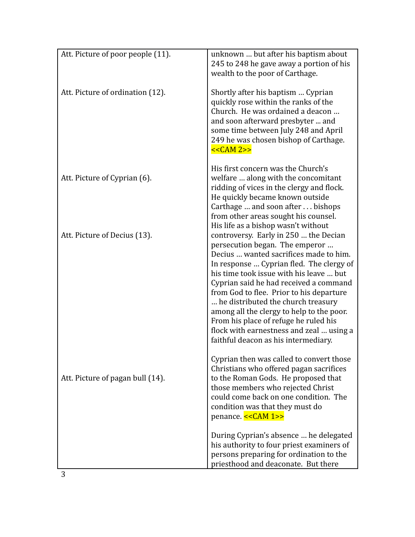| Att. Picture of poor people (11). | unknown  but after his baptism about<br>245 to 248 he gave away a portion of his<br>wealth to the poor of Carthage.                                                                                                                                                                                                                                                                                                                                                                                                                                   |
|-----------------------------------|-------------------------------------------------------------------------------------------------------------------------------------------------------------------------------------------------------------------------------------------------------------------------------------------------------------------------------------------------------------------------------------------------------------------------------------------------------------------------------------------------------------------------------------------------------|
| Att. Picture of ordination (12).  | Shortly after his baptism  Cyprian<br>quickly rose within the ranks of the<br>Church. He was ordained a deacon<br>and soon afterward presbyter  and<br>some time between July 248 and April<br>249 he was chosen bishop of Carthage.<br>$<<CAM 2>>$                                                                                                                                                                                                                                                                                                   |
| Att. Picture of Cyprian (6).      | His first concern was the Church's<br>welfare  along with the concomitant<br>ridding of vices in the clergy and flock.<br>He quickly became known outside<br>Carthage  and soon after  bishops<br>from other areas sought his counsel.                                                                                                                                                                                                                                                                                                                |
| Att. Picture of Decius (13).      | His life as a bishop wasn't without<br>controversy. Early in 250  the Decian<br>persecution began. The emperor<br>Decius  wanted sacrifices made to him.<br>In response  Cyprian fled. The clergy of<br>his time took issue with his leave  but<br>Cyprian said he had received a command<br>from God to flee. Prior to his departure<br>he distributed the church treasury<br>among all the clergy to help to the poor.<br>From his place of refuge he ruled his<br>flock with earnestness and zeal  using a<br>faithful deacon as his intermediary. |
| Att. Picture of pagan bull (14).  | Cyprian then was called to convert those<br>Christians who offered pagan sacrifices<br>to the Roman Gods. He proposed that<br>those members who rejected Christ<br>could come back on one condition. The<br>condition was that they must do<br>penance. << CAM 1>>                                                                                                                                                                                                                                                                                    |
|                                   | During Cyprian's absence  he delegated<br>his authority to four priest examiners of<br>persons preparing for ordination to the<br>priesthood and deaconate. But there                                                                                                                                                                                                                                                                                                                                                                                 |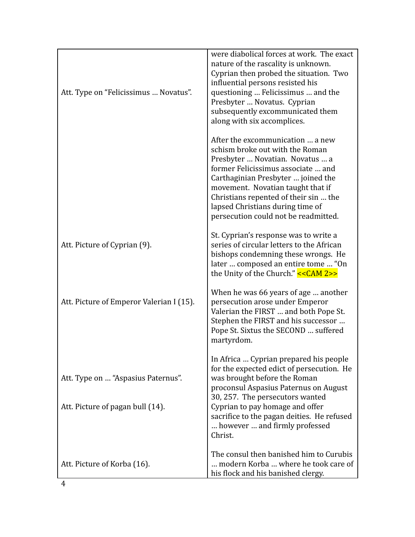| Att. Type on "Felicissimus  Novatus".                                  | were diabolical forces at work. The exact<br>nature of the rascality is unknown.<br>Cyprian then probed the situation. Two<br>influential persons resisted his<br>questioning  Felicissimus  and the<br>Presbyter  Novatus. Cyprian<br>subsequently excommunicated them<br>along with six accomplices.                                       |
|------------------------------------------------------------------------|----------------------------------------------------------------------------------------------------------------------------------------------------------------------------------------------------------------------------------------------------------------------------------------------------------------------------------------------|
|                                                                        | After the excommunication  a new<br>schism broke out with the Roman<br>Presbyter  Novatian. Novatus  a<br>former Felicissimus associate  and<br>Carthaginian Presbyter  joined the<br>movement. Novatian taught that if<br>Christians repented of their sin  the<br>lapsed Christians during time of<br>persecution could not be readmitted. |
| Att. Picture of Cyprian (9).                                           | St. Cyprian's response was to write a<br>series of circular letters to the African<br>bishops condemning these wrongs. He<br>later  composed an entire tome  "On<br>the Unity of the Church." $<<CMM 2>>$                                                                                                                                    |
| Att. Picture of Emperor Valerian I (15).                               | When he was 66 years of age  another<br>persecution arose under Emperor<br>Valerian the FIRST  and both Pope St.<br>Stephen the FIRST and his successor<br>Pope St. Sixtus the SECOND  suffered<br>martyrdom.                                                                                                                                |
| Att. Type on  "Aspasius Paternus".<br>Att. Picture of pagan bull (14). | In Africa  Cyprian prepared his people<br>for the expected edict of persecution. He<br>was brought before the Roman<br>proconsul Aspasius Paternus on August<br>30, 257. The persecutors wanted<br>Cyprian to pay homage and offer<br>sacrifice to the pagan deities. He refused                                                             |
|                                                                        | however  and firmly professed<br>Christ.                                                                                                                                                                                                                                                                                                     |
| Att. Picture of Korba (16).                                            | The consul then banished him to Curubis<br>modern Korba  where he took care of<br>his flock and his banished clergy.                                                                                                                                                                                                                         |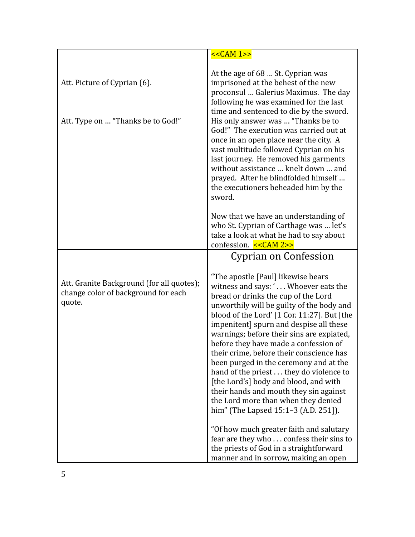|                                                                                            | $<<CAM 1>>$                                                                                                                                                                                                                                                                                                                                                                                                                                                                                                                                                                                                                                           |
|--------------------------------------------------------------------------------------------|-------------------------------------------------------------------------------------------------------------------------------------------------------------------------------------------------------------------------------------------------------------------------------------------------------------------------------------------------------------------------------------------------------------------------------------------------------------------------------------------------------------------------------------------------------------------------------------------------------------------------------------------------------|
| Att. Picture of Cyprian (6).<br>Att. Type on  "Thanks be to God!"                          | At the age of 68  St. Cyprian was<br>imprisoned at the behest of the new<br>proconsul  Galerius Maximus. The day<br>following he was examined for the last<br>time and sentenced to die by the sword.<br>His only answer was  "Thanks be to<br>God!" The execution was carried out at<br>once in an open place near the city. A<br>vast multitude followed Cyprian on his<br>last journey. He removed his garments<br>without assistance  knelt down  and<br>prayed. After he blindfolded himself<br>the executioners beheaded him by the<br>sword.                                                                                                   |
|                                                                                            | Now that we have an understanding of<br>who St. Cyprian of Carthage was  let's<br>take a look at what he had to say about<br>confession. << CAM 2>>                                                                                                                                                                                                                                                                                                                                                                                                                                                                                                   |
|                                                                                            | Cyprian on Confession                                                                                                                                                                                                                                                                                                                                                                                                                                                                                                                                                                                                                                 |
| Att. Granite Background (for all quotes);<br>change color of background for each<br>quote. | "The apostle [Paul] likewise bears<br>witness and says: ' Whoever eats the<br>bread or drinks the cup of the Lord<br>unworthily will be guilty of the body and<br>blood of the Lord' $[1$ Cor. 11:27]. But $[$ the<br>impenitent] spurn and despise all these<br>warnings; before their sins are expiated,<br>before they have made a confession of<br>their crime, before their conscience has<br>been purged in the ceremony and at the<br>hand of the priest they do violence to<br>[the Lord's] body and blood, and with<br>their hands and mouth they sin against<br>the Lord more than when they denied<br>him" (The Lapsed 15:1-3 (A.D. 251]). |
|                                                                                            | "Of how much greater faith and salutary<br>fear are they who confess their sins to<br>the priests of God in a straightforward<br>manner and in sorrow, making an open                                                                                                                                                                                                                                                                                                                                                                                                                                                                                 |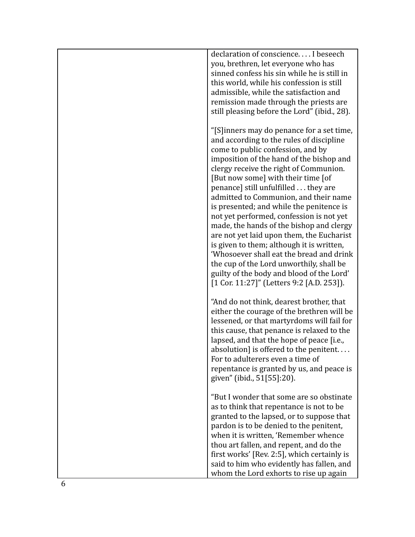| declaration of conscience I beseech<br>you, brethren, let everyone who has<br>sinned confess his sin while he is still in<br>this world, while his confession is still<br>admissible, while the satisfaction and<br>remission made through the priests are<br>still pleasing before the Lord" (ibid., 28).                                                                                                                                                                                                                                                                                                                                                                                                                                                |
|-----------------------------------------------------------------------------------------------------------------------------------------------------------------------------------------------------------------------------------------------------------------------------------------------------------------------------------------------------------------------------------------------------------------------------------------------------------------------------------------------------------------------------------------------------------------------------------------------------------------------------------------------------------------------------------------------------------------------------------------------------------|
| "[S] inners may do penance for a set time,<br>and according to the rules of discipline<br>come to public confession, and by<br>imposition of the hand of the bishop and<br>clergy receive the right of Communion.<br>[But now some] with their time [of<br>penance] still unfulfilled they are<br>admitted to Communion, and their name<br>is presented; and while the penitence is<br>not yet performed, confession is not yet<br>made, the hands of the bishop and clergy<br>are not yet laid upon them, the Eucharist<br>is given to them; although it is written,<br>'Whosoever shall eat the bread and drink<br>the cup of the Lord unworthily, shall be<br>guilty of the body and blood of the Lord'<br>$[1$ Cor. 11:27]" (Letters 9:2 [A.D. 253]). |
| "And do not think, dearest brother, that<br>either the courage of the brethren will be<br>lessened, or that martyrdoms will fail for<br>this cause, that penance is relaxed to the<br>lapsed, and that the hope of peace [i.e.,<br>absolution] is offered to the penitent.<br>For to adulterers even a time of<br>repentance is granted by us, and peace is<br>given" (ibid., 51[55]:20).                                                                                                                                                                                                                                                                                                                                                                 |
| "But I wonder that some are so obstinate<br>as to think that repentance is not to be<br>granted to the lapsed, or to suppose that<br>pardon is to be denied to the penitent,<br>when it is written, 'Remember whence<br>thou art fallen, and repent, and do the<br>first works' [Rev. 2:5], which certainly is<br>said to him who evidently has fallen, and<br>whom the Lord exhorts to rise up again                                                                                                                                                                                                                                                                                                                                                     |